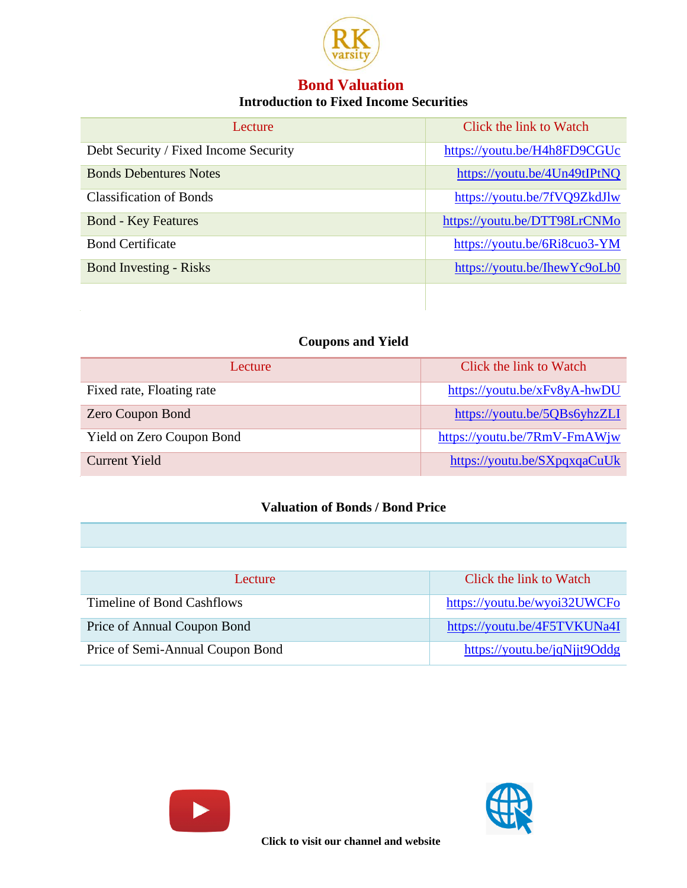

## **Bond Valuation Introduction to Fixed Income Securities**

| Lecture.                              | Click the link to Watch      |
|---------------------------------------|------------------------------|
| Debt Security / Fixed Income Security | https://youtu.be/H4h8FD9CGUc |
| <b>Bonds Debentures Notes</b>         | https://youtu.be/4Un49tIPtNQ |
| <b>Classification of Bonds</b>        | https://youtu.be/7fVQ9ZkdJlw |
| <b>Bond - Key Features</b>            | https://youtu.be/DTT98LrCNMo |
| <b>Bond Certificate</b>               | https://youtu.be/6Ri8cuo3-YM |
| <b>Bond Investing - Risks</b>         | https://youtu.be/IhewYc9oLb0 |

## **Coupons and Yield**

| Lecture                   | Click the link to Watch      |
|---------------------------|------------------------------|
| Fixed rate, Floating rate | https://youtu.be/xFv8yA-hwDU |
| <b>Zero Coupon Bond</b>   | https://youtu.be/5QBs6yhzZLI |
| Yield on Zero Coupon Bond | https://youtu.be/7RmV-FmAWjw |
| Current Yield             | https://youtu.be/SXpqxqaCuUk |

## **Valuation of Bonds / Bond Price**

| Lecture                          | Click the link to Watch      |
|----------------------------------|------------------------------|
| Timeline of Bond Cashflows       | https://youtu.be/wyoi32UWCFo |
| Price of Annual Coupon Bond      | https://youtu.be/4F5TVKUNa4I |
| Price of Semi-Annual Coupon Bond | https://youtu.be/jqNjjt9Oddg |